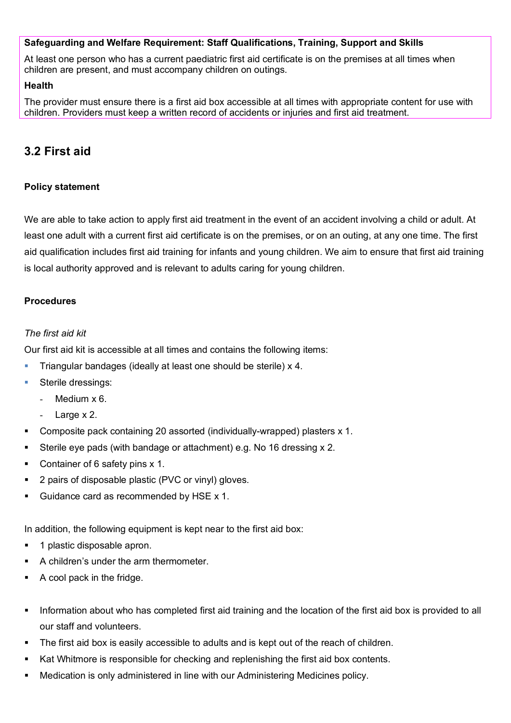## **Safeguarding and Welfare Requirement: Staff Qualifications, Training, Support and Skills**

At least one person who has a current paediatric first aid certificate is on the premises at all times when children are present, and must accompany children on outings.

#### **Health**

The provider must ensure there is a first aid box accessible at all times with appropriate content for use with children. Providers must keep a written record of accidents or injuries and first aid treatment.

# **3.2 First aid**

## **Policy statement**

We are able to take action to apply first aid treatment in the event of an accident involving a child or adult. At least one adult with a current first aid certificate is on the premises, or on an outing, at any one time. The first aid qualification includes first aid training for infants and young children. We aim to ensure that first aid training is local authority approved and is relevant to adults caring for young children.

## **Procedures**

#### *The first aid kit*

Our first aid kit is accessible at all times and contains the following items:

- Triangular bandages (ideally at least one should be sterile) x 4.
- **Sterile dressings:** 
	- Medium x 6.
	- Large x 2.
- Composite pack containing 20 assorted (individually-wrapped) plasters x 1.
- Sterile eye pads (with bandage or attachment) e.g. No 16 dressing x 2.
- Container of 6 safety pins x 1.
- 2 pairs of disposable plastic (PVC or vinyl) gloves.
- Guidance card as recommended by HSE x 1.

In addition, the following equipment is kept near to the first aid box:

- 1 plastic disposable apron.
- A children's under the arm thermometer.
- A cool pack in the fridge.
- Information about who has completed first aid training and the location of the first aid box is provided to all our staff and volunteers.
- The first aid box is easily accessible to adults and is kept out of the reach of children.
- Kat Whitmore is responsible for checking and replenishing the first aid box contents.
- Medication is only administered in line with our Administering Medicines policy.